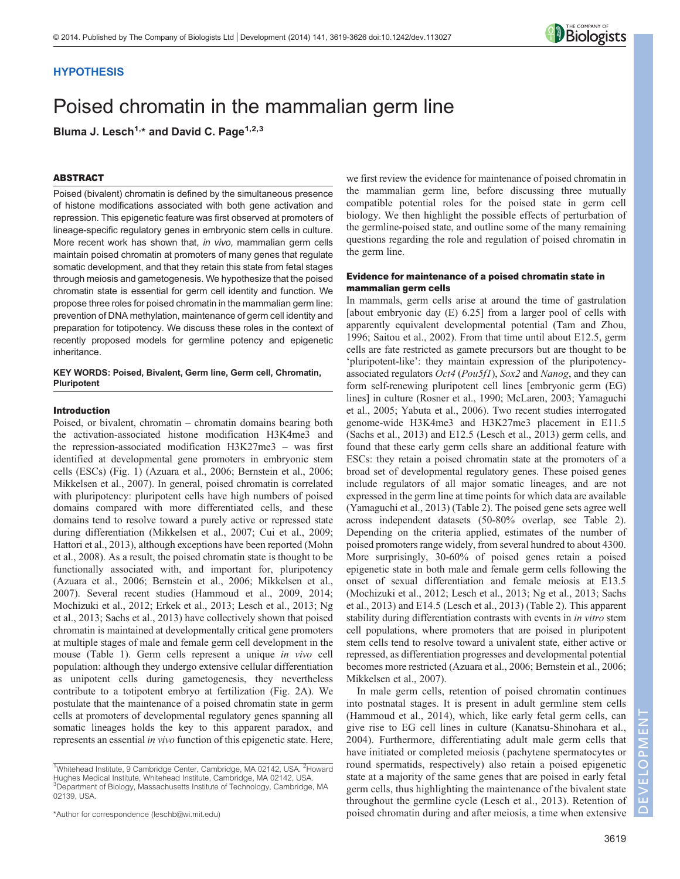# HYPOTHESIS

# Poised chromatin in the mammalian germ line

Bluma J. Lesch<sup>1,\*</sup> and David C. Page<sup>1,2,3</sup>

### ABSTRACT

Poised (bivalent) chromatin is defined by the simultaneous presence of histone modifications associated with both gene activation and repression. This epigenetic feature was first observed at promoters of lineage-specific regulatory genes in embryonic stem cells in culture. More recent work has shown that, in vivo, mammalian germ cells maintain poised chromatin at promoters of many genes that regulate somatic development, and that they retain this state from fetal stages through meiosis and gametogenesis. We hypothesize that the poised chromatin state is essential for germ cell identity and function. We propose three roles for poised chromatin in the mammalian germ line: prevention of DNA methylation, maintenance of germ cell identity and preparation for totipotency. We discuss these roles in the context of recently proposed models for germline potency and epigenetic inheritance.

KEY WORDS: Poised, Bivalent, Germ line, Germ cell, Chromatin, Pluripotent

#### Introduction

Poised, or bivalent, chromatin – chromatin domains bearing both the activation-associated histone modification H3K4me3 and the repression-associated modification H3K27me3 – was first identified at developmental gene promoters in embryonic stem cells (ESCs) ([Fig. 1\)](#page-1-0) [\(Azuara et al., 2006; Bernstein et al., 2006](#page-6-0); [Mikkelsen et al., 2007\)](#page-7-0). In general, poised chromatin is correlated with pluripotency: pluripotent cells have high numbers of poised domains compared with more differentiated cells, and these domains tend to resolve toward a purely active or repressed state during differentiation [\(Mikkelsen et al., 2007;](#page-7-0) [Cui et al., 2009](#page-6-0); [Hattori et al., 2013](#page-6-0)), although exceptions have been reported [\(Mohn](#page-7-0) [et al., 2008\)](#page-7-0). As a result, the poised chromatin state is thought to be functionally associated with, and important for, pluripotency [\(Azuara et al., 2006; Bernstein et al., 2006;](#page-6-0) [Mikkelsen et al.,](#page-7-0) [2007](#page-7-0)). Several recent studies [\(Hammoud et al., 2009](#page-6-0), [2014](#page-6-0); [Mochizuki et al., 2012;](#page-7-0) [Erkek et al., 2013;](#page-6-0) [Lesch et al., 2013; Ng](#page-7-0) [et al., 2013; Sachs et al., 2013](#page-7-0)) have collectively shown that poised chromatin is maintained at developmentally critical gene promoters at multiple stages of male and female germ cell development in the mouse [\(Table 1\)](#page-1-0). Germ cells represent a unique in vivo cell population: although they undergo extensive cellular differentiation as unipotent cells during gametogenesis, they nevertheless contribute to a totipotent embryo at fertilization [\(Fig. 2A](#page-2-0)). We postulate that the maintenance of a poised chromatin state in germ cells at promoters of developmental regulatory genes spanning all somatic lineages holds the key to this apparent paradox, and represents an essential *in vivo* function of this epigenetic state. Here,

\*Author for correspondence (leschb@wi.mit.edu)

we first review the evidence for maintenance of poised chromatin in the mammalian germ line, before discussing three mutually compatible potential roles for the poised state in germ cell biology. We then highlight the possible effects of perturbation of the germline-poised state, and outline some of the many remaining questions regarding the role and regulation of poised chromatin in the germ line.

## Evidence for maintenance of a poised chromatin state in mammalian germ cells

In mammals, germ cells arise at around the time of gastrulation [about embryonic day (E) 6.25] from a larger pool of cells with apparently equivalent developmental potential [\(Tam and Zhou,](#page-7-0) [1996; Saitou et al., 2002\)](#page-7-0). From that time until about E12.5, germ cells are fate restricted as gamete precursors but are thought to be 'pluripotent-like': they maintain expression of the pluripotencyassociated regulators Oct4 (Pou5f1), Sox2 and Nanog, and they can form self-renewing pluripotent cell lines [embryonic germ (EG) lines] in culture [\(Rosner et al., 1990; McLaren, 2003](#page-7-0); [Yamaguchi](#page-7-0) [et al., 2005; Yabuta et al., 2006](#page-7-0)). Two recent studies interrogated genome-wide H3K4me3 and H3K27me3 placement in E11.5 [\(Sachs et al., 2013](#page-7-0)) and E12.5 ([Lesch et al., 2013](#page-7-0)) germ cells, and found that these early germ cells share an additional feature with ESCs: they retain a poised chromatin state at the promoters of a broad set of developmental regulatory genes. These poised genes include regulators of all major somatic lineages, and are not expressed in the germ line at time points for which data are available [\(Yamaguchi et al., 2013](#page-7-0)) [\(Table 2\)](#page-3-0). The poised gene sets agree well across independent datasets (50-80% overlap, see [Table 2\)](#page-3-0). Depending on the criteria applied, estimates of the number of poised promoters range widely, from several hundred to about 4300. More surprisingly, 30-60% of poised genes retain a poised epigenetic state in both male and female germ cells following the onset of sexual differentiation and female meiosis at E13.5 [\(Mochizuki et al., 2012](#page-7-0); [Lesch et al., 2013; Ng et al., 2013; Sachs](#page-7-0) [et al., 2013\)](#page-7-0) and E14.5 [\(Lesch et al., 2013\)](#page-7-0) [\(Table 2](#page-3-0)). This apparent stability during differentiation contrasts with events in in vitro stem cell populations, where promoters that are poised in pluripotent stem cells tend to resolve toward a univalent state, either active or repressed, as differentiation progresses and developmental potential becomes more restricted ([Azuara et al., 2006; Bernstein et al., 2006](#page-6-0); [Mikkelsen et al., 2007\)](#page-7-0).

In male germ cells, retention of poised chromatin continues into postnatal stages. It is present in adult germline stem cells [\(Hammoud et al., 2014](#page-6-0)), which, like early fetal germ cells, can give rise to EG cell lines in culture ([Kanatsu-Shinohara et al.,](#page-6-0) [2004](#page-6-0)). Furthermore, differentiating adult male germ cells that have initiated or completed meiosis ( pachytene spermatocytes or round spermatids, respectively) also retain a poised epigenetic state at a majority of the same genes that are poised in early fetal germ cells, thus highlighting the maintenance of the bivalent state throughout the germline cycle [\(Lesch et al., 2013\)](#page-7-0). Retention of poised chromatin during and after meiosis, a time when extensive



<sup>&</sup>lt;sup>1</sup>Whitehead Institute, 9 Cambridge Center, Cambridge, MA 02142, USA. <sup>2</sup>Howard Hughes Medical Institute, Whitehead Institute, Cambridge, MA 02142, USA. <sup>3</sup>Department of Biology, Massachusetts Institute of Technology, Cambridge, MA 02139, USA.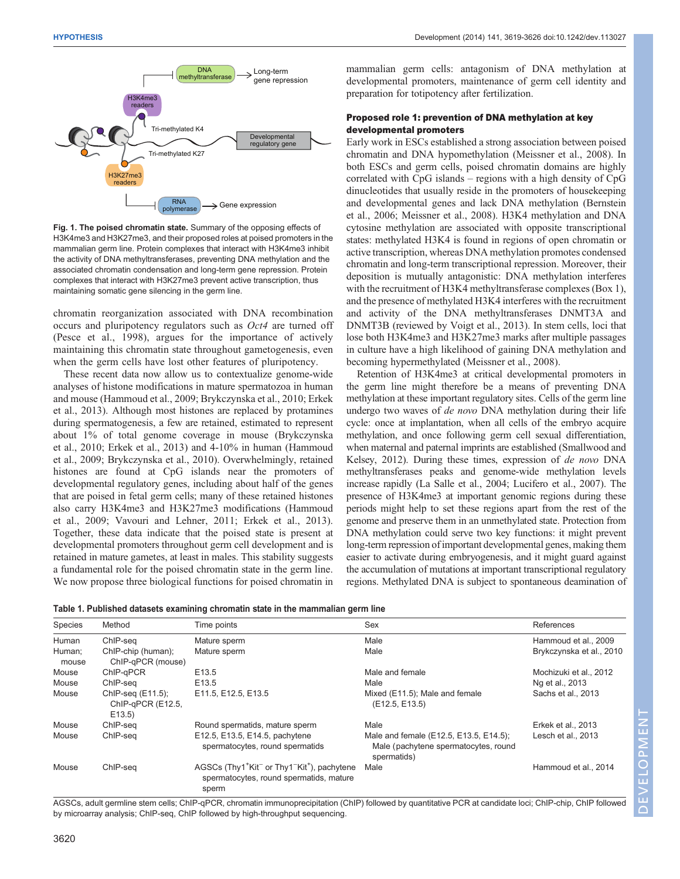<span id="page-1-0"></span>

Fig. 1. The poised chromatin state. Summary of the opposing effects of H3K4me3 and H3K27me3, and their proposed roles at poised promoters in the mammalian germ line. Protein complexes that interact with H3K4me3 inhibit the activity of DNA methyltransferases, preventing DNA methylation and the associated chromatin condensation and long-term gene repression. Protein complexes that interact with H3K27me3 prevent active transcription, thus maintaining somatic gene silencing in the germ line.

chromatin reorganization associated with DNA recombination occurs and pluripotency regulators such as Oct4 are turned off [\(Pesce et al., 1998](#page-7-0)), argues for the importance of actively maintaining this chromatin state throughout gametogenesis, even when the germ cells have lost other features of pluripotency.

These recent data now allow us to contextualize genome-wide analyses of histone modifications in mature spermatozoa in human and mouse [\(Hammoud et al., 2009](#page-6-0); [Brykczynska et al., 2010](#page-6-0); [Erkek](#page-6-0) [et al., 2013](#page-6-0)). Although most histones are replaced by protamines during spermatogenesis, a few are retained, estimated to represent about 1% of total genome coverage in mouse ([Brykczynska](#page-6-0) [et al., 2010; Erkek et al., 2013](#page-6-0)) and 4-10% in human [\(Hammoud](#page-6-0) [et al., 2009](#page-6-0); [Brykczynska et al., 2010\)](#page-6-0). Overwhelmingly, retained histones are found at CpG islands near the promoters of developmental regulatory genes, including about half of the genes that are poised in fetal germ cells; many of these retained histones also carry H3K4me3 and H3K27me3 modifications [\(Hammoud](#page-6-0) [et al., 2009;](#page-6-0) [Vavouri and Lehner, 2011;](#page-7-0) [Erkek et al., 2013\)](#page-6-0). Together, these data indicate that the poised state is present at developmental promoters throughout germ cell development and is retained in mature gametes, at least in males. This stability suggests a fundamental role for the poised chromatin state in the germ line. We now propose three biological functions for poised chromatin in

mammalian germ cells: antagonism of DNA methylation at developmental promoters, maintenance of germ cell identity and preparation for totipotency after fertilization.

## Proposed role 1: prevention of DNA methylation at key developmental promoters

Early work in ESCs established a strong association between poised chromatin and DNA hypomethylation ([Meissner et al., 2008](#page-7-0)). In both ESCs and germ cells, poised chromatin domains are highly correlated with CpG islands – regions with a high density of CpG dinucleotides that usually reside in the promoters of housekeeping and developmental genes and lack DNA methylation [\(Bernstein](#page-6-0) [et al., 2006;](#page-6-0) [Meissner et al., 2008](#page-7-0)). H3K4 methylation and DNA cytosine methylation are associated with opposite transcriptional states: methylated H3K4 is found in regions of open chromatin or active transcription, whereas DNA methylation promotes condensed chromatin and long-term transcriptional repression. Moreover, their deposition is mutually antagonistic: DNA methylation interferes with the recruitment of H3K4 methyltransferase complexes [\(Box 1\)](#page-3-0), and the presence of methylated H3K4 interferes with the recruitment and activity of the DNA methyltransferases DNMT3A and DNMT3B (reviewed by [Voigt et al., 2013](#page-7-0)). In stem cells, loci that lose both H3K4me3 and H3K27me3 marks after multiple passages in culture have a high likelihood of gaining DNA methylation and becoming hypermethylated [\(Meissner et al., 2008](#page-7-0)).

Retention of H3K4me3 at critical developmental promoters in the germ line might therefore be a means of preventing DNA methylation at these important regulatory sites. Cells of the germ line undergo two waves of de novo DNA methylation during their life cycle: once at implantation, when all cells of the embryo acquire methylation, and once following germ cell sexual differentiation, when maternal and paternal imprints are established [\(Smallwood and](#page-7-0) [Kelsey, 2012\)](#page-7-0). During these times, expression of de novo DNA methyltransferases peaks and genome-wide methylation levels increase rapidly ([La Salle et al., 2004](#page-7-0); [Lucifero et al., 2007\)](#page-7-0). The presence of H3K4me3 at important genomic regions during these periods might help to set these regions apart from the rest of the genome and preserve them in an unmethylated state. Protection from DNA methylation could serve two key functions: it might prevent long-term repression of important developmental genes, making them easier to activate during embryogenesis, and it might guard against the accumulation of mutations at important transcriptional regulatory regions. Methylated DNA is subject to spontaneous deamination of

|  |  |  |  |  |  |  |  |  |  | Table 1. Published datasets examining chromatin state in the mammalian germ line |  |  |
|--|--|--|--|--|--|--|--|--|--|----------------------------------------------------------------------------------|--|--|
|  |  |  |  |  |  |  |  |  |  |                                                                                  |  |  |
|  |  |  |  |  |  |  |  |  |  |                                                                                  |  |  |

| Species         | Method                                                 | Time points                                                                                                                                      | Sex                                                                                           | References               |
|-----------------|--------------------------------------------------------|--------------------------------------------------------------------------------------------------------------------------------------------------|-----------------------------------------------------------------------------------------------|--------------------------|
| Human           | ChIP-seq                                               | Mature sperm                                                                                                                                     | Male                                                                                          | Hammoud et al., 2009     |
| Human;<br>mouse | ChIP-chip (human);<br>ChIP-qPCR (mouse)                | Mature sperm                                                                                                                                     | Male                                                                                          | Brykczynska et al., 2010 |
| Mouse           | ChIP-qPCR                                              | E <sub>13.5</sub>                                                                                                                                | Male and female                                                                               | Mochizuki et al., 2012   |
| Mouse           | ChIP-seq                                               | E <sub>13.5</sub>                                                                                                                                | Male                                                                                          | Ng et al., 2013          |
| Mouse           | ChIP-seq $(E11.5)$ ;<br>ChIP-qPCR $(E12.5,$<br>E(13.5) | E11.5, E12.5, E13.5                                                                                                                              | Mixed (E11.5); Male and female<br>(E12.5, E13.5)                                              | Sachs et al., 2013       |
| Mouse           | ChIP-seq                                               | Round spermatids, mature sperm                                                                                                                   | Male                                                                                          | Erkek et al., 2013       |
| Mouse           | ChIP-sea                                               | E12.5, E13.5, E14.5, pachytene<br>spermatocytes, round spermatids                                                                                | Male and female (E12.5, E13.5, E14.5);<br>Male (pachytene spermatocytes, round<br>spermatids) | Lesch et al., 2013       |
| Mouse           | ChIP-sea                                               | AGSCs (Thy1 <sup>+</sup> Kit <sup>-</sup> or Thy1 <sup>-</sup> Kit <sup>+</sup> ), pachytene<br>spermatocytes, round spermatids, mature<br>sperm | Male                                                                                          | Hammoud et al., 2014     |

AGSCs, adult germline stem cells; ChIP-qPCR, chromatin immunoprecipitation (ChIP) followed by quantitative PCR at candidate loci; ChIP-chip, ChIP followed by microarray analysis; ChIP-seq, ChIP followed by high-throughput sequencing.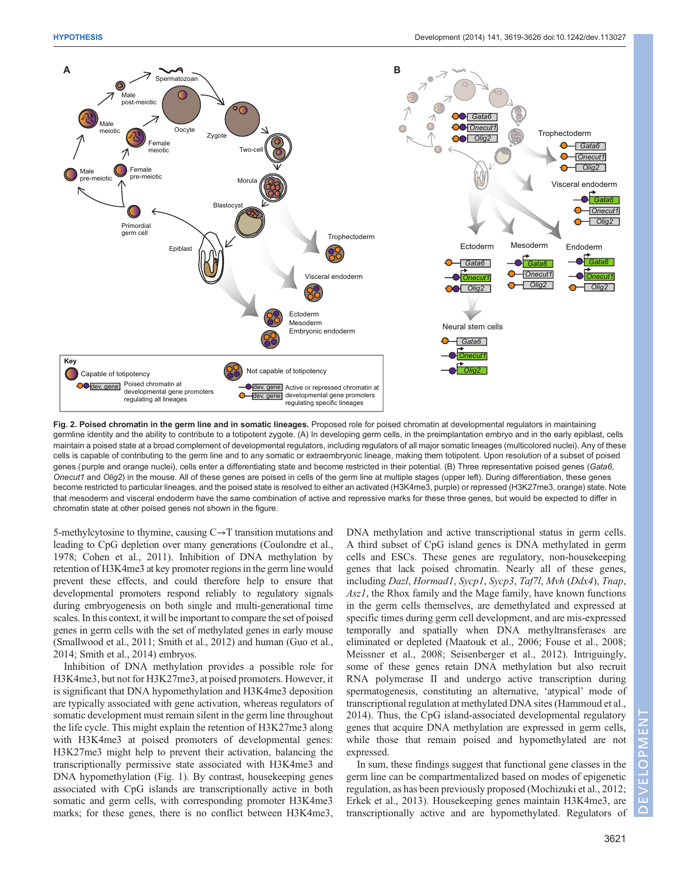<span id="page-2-0"></span>

Fig. 2. Poised chromatin in the germ line and in somatic lineages. Proposed role for poised chromatin at developmental regulators in maintaining germline identity and the ability to contribute to a totipotent zygote. (A) In developing germ cells, in the preimplantation embryo and in the early epiblast, cells maintain a poised state at a broad complement of developmental regulators, including regulators of all major somatic lineages (multicolored nuclei). Any of these cells is capable of contributing to the germ line and to any somatic or extraembryonic lineage, making them totipotent. Upon resolution of a subset of poised genes (purple and orange nuclei), cells enter a differentiating state and become restricted in their potential. (B) Three representative poised genes (Gata6, Onecut1 and Olig2) in the mouse. All of these genes are poised in cells of the germ line at multiple stages (upper left). During differentiation, these genes become restricted to particular lineages, and the poised state is resolved to either an activated (H3K4me3, purple) or repressed (H3K27me3, orange) state. Note that mesoderm and visceral endoderm have the same combination of active and repressive marks for these three genes, but would be expected to differ in chromatin state at other poised genes not shown in the figure.

5-methylcytosine to thymine, causing  $C \rightarrow T$  transition mutations and leading to CpG depletion over many generations [\(Coulondre et al.,](#page-6-0) [1978; Cohen et al., 2011\)](#page-6-0). Inhibition of DNA methylation by retention of H3K4me3 at key promoter regions in the germ line would prevent these effects, and could therefore help to ensure that developmental promoters respond reliably to regulatory signals during embryogenesis on both single and multi-generational time scales. In this context, it will be important to compare the set of poised genes in germ cells with the set of methylated genes in early mouse [\(Smallwood et al., 2011](#page-7-0); [Smith et al., 2012\)](#page-7-0) and human [\(Guo et al.,](#page-6-0) [2014;](#page-6-0) [Smith et al., 2014\)](#page-7-0) embryos.

Inhibition of DNA methylation provides a possible role for H3K4me3, but not for H3K27me3, at poised promoters. However, it is significant that DNA hypomethylation and H3K4me3 deposition are typically associated with gene activation, whereas regulators of somatic development must remain silent in the germ line throughout the life cycle. This might explain the retention of H3K27me3 along with H3K4me3 at poised promoters of developmental genes: H3K27me3 might help to prevent their activation, balancing the transcriptionally permissive state associated with H3K4me3 and DNA hypomethylation [\(Fig. 1](#page-1-0)). By contrast, housekeeping genes associated with CpG islands are transcriptionally active in both somatic and germ cells, with corresponding promoter H3K4me3 marks; for these genes, there is no conflict between H3K4me3,

DNA methylation and active transcriptional status in germ cells. A third subset of CpG island genes is DNA methylated in germ cells and ESCs. These genes are regulatory, non-housekeeping genes that lack poised chromatin. Nearly all of these genes, including Dazl, Hormad1, Sycp1, Sycp3, Taf7l, Mvh (Ddx4), Tnap, Asz1, the Rhox family and the Mage family, have known functions in the germ cells themselves, are demethylated and expressed at specific times during germ cell development, and are mis-expressed temporally and spatially when DNA methyltransferases are eliminated or depleted ([Maatouk et al., 2006](#page-7-0); [Fouse et al., 2008](#page-6-0); [Meissner et al., 2008](#page-7-0); [Seisenberger et al., 2012](#page-7-0)). Intriguingly, some of these genes retain DNA methylation but also recruit RNA polymerase II and undergo active transcription during spermatogenesis, constituting an alternative, 'atypical' mode of transcriptional regulation at methylated DNA sites [\(Hammoud et al.,](#page-6-0) [2014\)](#page-6-0). Thus, the CpG island-associated developmental regulatory genes that acquire DNA methylation are expressed in germ cells, while those that remain poised and hypomethylated are not expressed.

In sum, these findings suggest that functional gene classes in the germ line can be compartmentalized based on modes of epigenetic regulation, as has been previously proposed [\(Mochizuki et al., 2012](#page-7-0); [Erkek et al., 2013](#page-6-0)). Housekeeping genes maintain H3K4me3, are transcriptionally active and are hypomethylated. Regulators of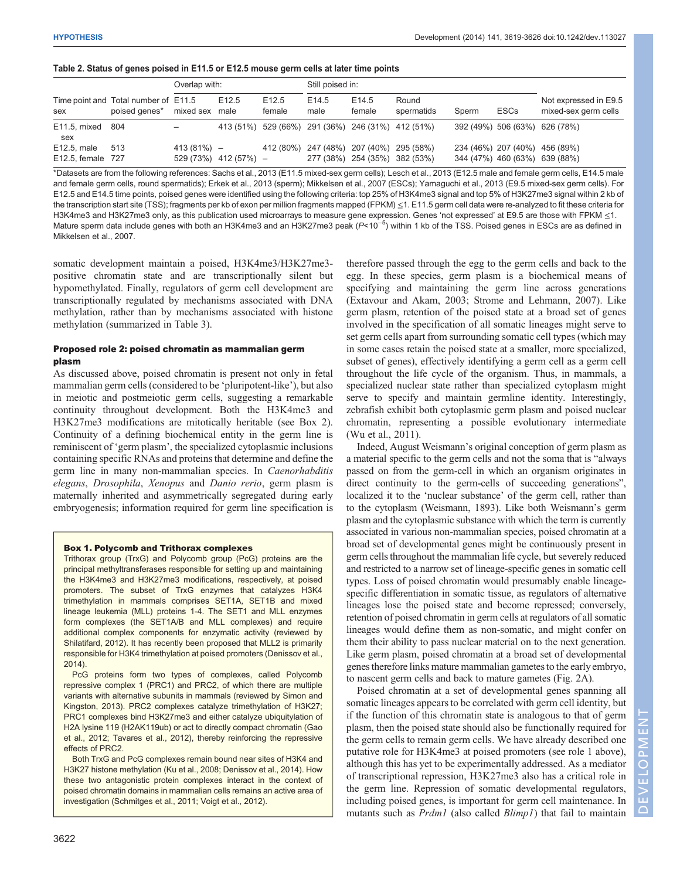<span id="page-3-0"></span>

|  |  |  | Table 2. Status of genes poised in E11.5 or E12.5 mouse germ cells at later time points |
|--|--|--|-----------------------------------------------------------------------------------------|
|--|--|--|-----------------------------------------------------------------------------------------|

|                                  |                                                       | Overlap with: |                        |                             | Still poised in:          |                                                                          |                     |       |                                                                |                                               |  |
|----------------------------------|-------------------------------------------------------|---------------|------------------------|-----------------------------|---------------------------|--------------------------------------------------------------------------|---------------------|-------|----------------------------------------------------------------|-----------------------------------------------|--|
| sex                              | Time point and Total number of E11.5<br>poised genes* | mixed sex     | E12.5<br>male          | E <sub>12.5</sub><br>female | E <sub>14.5</sub><br>male | E <sub>14.5</sub><br>female                                              | Round<br>spermatids | Sperm | <b>ESCs</b>                                                    | Not expressed in E9.5<br>mixed-sex germ cells |  |
| E11.5, mixed 804<br>sex          |                                                       |               |                        |                             |                           | 413 (51%) 529 (66%) 291 (36%) 246 (31%) 412 (51%)                        |                     |       | 392 (49%) 506 (63%) 626 (78%)                                  |                                               |  |
| E12.5, male<br>E12.5. female 727 | 513                                                   | $413(81\%) -$ | $529(73%)$ 412 (57%) - |                             |                           | 412 (80%) 247 (48%) 207 (40%) 295 (58%)<br>277 (38%) 254 (35%) 382 (53%) |                     |       | 234 (46%) 207 (40%) 456 (89%)<br>344 (47%) 460 (63%) 639 (88%) |                                               |  |

\*Datasets are from the following references: [Sachs et al., 2013](#page-7-0) (E11.5 mixed-sex germ cells); [Lesch et al., 2013](#page-7-0) (E12.5 male and female germ cells, E14.5 male and female germ cells, round spermatids); [Erkek et al., 2013](#page-6-0) (sperm); [Mikkelsen et al., 2007](#page-7-0) (ESCs); [Yamaguchi et al., 2013](#page-7-0) (E9.5 mixed-sex germ cells). For E12.5 and E14.5 time points, poised genes were identified using the following criteria: top 25% of H3K4me3 signal and top 5% of H3K27me3 signal within 2 kb of the transcription start site (TSS); fragments per kb of exon per million fragments mapped (FPKM) ≤1. E11.5 germ cell data were re-analyzed to fit these criteria for H3K4me3 and H3K27me3 only, as this publication used microarrays to measure gene expression. Genes 'not expressed' at E9.5 are those with FPKM ≤1. Mature sperm data include genes with both an H3K4me3 and an H3K27me3 peak (P<10<sup>−5</sup>) within 1 kb of the TSS. Poised genes in ESCs are as defined in [Mikkelsen et al., 2007.](#page-7-0)

somatic development maintain a poised, H3K4me3/H3K27me3 positive chromatin state and are transcriptionally silent but hypomethylated. Finally, regulators of germ cell development are transcriptionally regulated by mechanisms associated with DNA methylation, rather than by mechanisms associated with histone methylation (summarized in [Table 3\)](#page-4-0).

# Proposed role 2: poised chromatin as mammalian germ plasm

As discussed above, poised chromatin is present not only in fetal mammalian germ cells (considered to be 'pluripotent-like'), but also in meiotic and postmeiotic germ cells, suggesting a remarkable continuity throughout development. Both the H3K4me3 and H3K27me3 modifications are mitotically heritable (see [Box 2\)](#page-4-0). Continuity of a defining biochemical entity in the germ line is reminiscent of 'germ plasm', the specialized cytoplasmic inclusions containing specific RNAs and proteins that determine and define the germ line in many non-mammalian species. In Caenorhabditis elegans, Drosophila, Xenopus and Danio rerio, germ plasm is maternally inherited and asymmetrically segregated during early embryogenesis; information required for germ line specification is

#### Box 1. Polycomb and Trithorax complexes

Trithorax group (TrxG) and Polycomb group (PcG) proteins are the principal methyltransferases responsible for setting up and maintaining the H3K4me3 and H3K27me3 modifications, respectively, at poised promoters. The subset of TrxG enzymes that catalyzes H3K4 trimethylation in mammals comprises SET1A, SET1B and mixed lineage leukemia (MLL) proteins 1-4. The SET1 and MLL enzymes form complexes (the SET1A/B and MLL complexes) and require additional complex components for enzymatic activity (reviewed by [Shilatifard, 2012](#page-7-0)). It has recently been proposed that MLL2 is primarily responsible for H3K4 trimethylation at poised promoters [\(Denissov et al.,](#page-6-0) [2014](#page-6-0)).

PcG proteins form two types of complexes, called Polycomb repressive complex 1 (PRC1) and PRC2, of which there are multiple variants with alternative subunits in mammals (reviewed by [Simon and](#page-7-0) [Kingston, 2013](#page-7-0)). PRC2 complexes catalyze trimethylation of H3K27; PRC1 complexes bind H3K27me3 and either catalyze ubiquitylation of H2A lysine 119 (H2AK119ub) or act to directly compact chromatin [\(Gao](#page-6-0) [et al., 2012](#page-6-0); [Tavares et al., 2012](#page-7-0)), thereby reinforcing the repressive effects of PRC2.

Both TrxG and PcG complexes remain bound near sites of H3K4 and H3K27 histone methylation ([Ku et al., 2008](#page-7-0); [Denissov et al., 2014](#page-6-0)). How these two antagonistic protein complexes interact in the context of poised chromatin domains in mammalian cells remains an active area of investigation ([Schmitges et al., 2011; Voigt et al., 2012](#page-7-0)).

therefore passed through the egg to the germ cells and back to the egg. In these species, germ plasm is a biochemical means of specifying and maintaining the germ line across generations [\(Extavour and Akam, 2003;](#page-6-0) [Strome and Lehmann, 2007](#page-7-0)). Like germ plasm, retention of the poised state at a broad set of genes involved in the specification of all somatic lineages might serve to set germ cells apart from surrounding somatic cell types (which may in some cases retain the poised state at a smaller, more specialized, subset of genes), effectively identifying a germ cell as a germ cell throughout the life cycle of the organism. Thus, in mammals, a specialized nuclear state rather than specialized cytoplasm might serve to specify and maintain germline identity. Interestingly, zebrafish exhibit both cytoplasmic germ plasm and poised nuclear chromatin, representing a possible evolutionary intermediate [\(Wu et al., 2011\)](#page-7-0).

Indeed, August Weismann's original conception of germ plasm as a material specific to the germ cells and not the soma that is "always passed on from the germ-cell in which an organism originates in direct continuity to the germ-cells of succeeding generations", localized it to the 'nuclear substance' of the germ cell, rather than to the cytoplasm [\(Weismann, 1893](#page-7-0)). Like both Weismann's germ plasm and the cytoplasmic substance with which the term is currently associated in various non-mammalian species, poised chromatin at a broad set of developmental genes might be continuously present in germ cells throughout the mammalian life cycle, but severely reduced and restricted to a narrow set of lineage-specific genes in somatic cell types. Loss of poised chromatin would presumably enable lineagespecific differentiation in somatic tissue, as regulators of alternative lineages lose the poised state and become repressed; conversely, retention of poised chromatin in germ cells at regulators of all somatic lineages would define them as non-somatic, and might confer on them their ability to pass nuclear material on to the next generation. Like germ plasm, poised chromatin at a broad set of developmental genes therefore links mature mammalian gametes to the early embryo, to nascent germ cells and back to mature gametes [\(Fig. 2](#page-2-0)A).

Poised chromatin at a set of developmental genes spanning all somatic lineages appears to be correlated with germ cell identity, but if the function of this chromatin state is analogous to that of germ plasm, then the poised state should also be functionally required for the germ cells to remain germ cells. We have already described one putative role for H3K4me3 at poised promoters (see role 1 above), although this has yet to be experimentally addressed. As a mediator of transcriptional repression, H3K27me3 also has a critical role in the germ line. Repression of somatic developmental regulators, including poised genes, is important for germ cell maintenance. In mutants such as *Prdm1* (also called *Blimp1*) that fail to maintain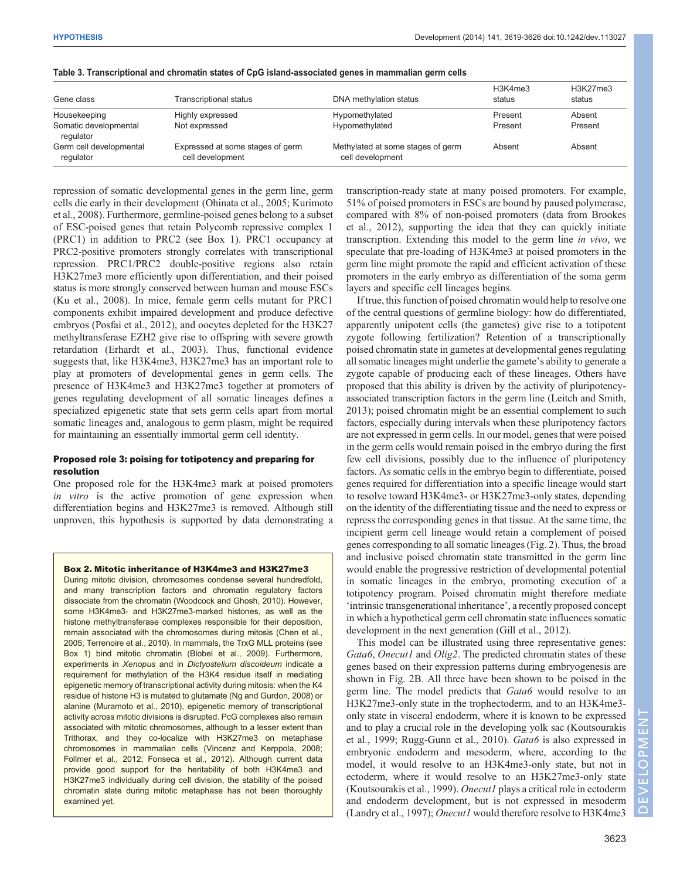| Gene class                           | Transcriptional status                               | DNA methylation status                                | H3K4me3<br>status | H3K27me3<br>status |
|--------------------------------------|------------------------------------------------------|-------------------------------------------------------|-------------------|--------------------|
| Housekeeping                         | Highly expressed                                     | Hypomethylated                                        | Present           | Absent             |
| Somatic developmental<br>regulator   | Not expressed                                        | Hypomethylated                                        | Present           | Present            |
| Germ cell developmental<br>regulator | Expressed at some stages of germ<br>cell development | Methylated at some stages of germ<br>cell development | Absent            | Absent             |

<span id="page-4-0"></span>

|  |  |  |  |  | Table 3. Transcriptional and chromatin states of CpG island-associated genes in mammalian germ cells |  |
|--|--|--|--|--|------------------------------------------------------------------------------------------------------|--|
|  |  |  |  |  |                                                                                                      |  |

repression of somatic developmental genes in the germ line, germ cells die early in their development [\(Ohinata et al., 2005; Kurimoto](#page-7-0) [et al., 2008\)](#page-7-0). Furthermore, germline-poised genes belong to a subset of ESC-poised genes that retain Polycomb repressive complex 1 (PRC1) in addition to PRC2 (see [Box 1\)](#page-3-0). PRC1 occupancy at PRC2-positive promoters strongly correlates with transcriptional repression. PRC1/PRC2 double-positive regions also retain H3K27me3 more efficiently upon differentiation, and their poised status is more strongly conserved between human and mouse ESCs [\(Ku et al., 2008](#page-7-0)). In mice, female germ cells mutant for PRC1 components exhibit impaired development and produce defective embryos ([Posfai et al., 2012](#page-7-0)), and oocytes depleted for the H3K27 methyltransferase EZH2 give rise to offspring with severe growth retardation ([Erhardt et al., 2003](#page-6-0)). Thus, functional evidence suggests that, like H3K4me3, H3K27me3 has an important role to play at promoters of developmental genes in germ cells. The presence of H3K4me3 and H3K27me3 together at promoters of genes regulating development of all somatic lineages defines a specialized epigenetic state that sets germ cells apart from mortal somatic lineages and, analogous to germ plasm, might be required for maintaining an essentially immortal germ cell identity.

## Proposed role 3: poising for totipotency and preparing for resolution

One proposed role for the H3K4me3 mark at poised promoters in vitro is the active promotion of gene expression when differentiation begins and H3K27me3 is removed. Although still unproven, this hypothesis is supported by data demonstrating a

#### Box 2. Mitotic inheritance of H3K4me3 and H3K27me3

During mitotic division, chromosomes condense several hundredfold, and many transcription factors and chromatin regulatory factors dissociate from the chromatin ([Woodcock and Ghosh, 2010\)](#page-7-0). However, some H3K4me3- and H3K27me3-marked histones, as well as the histone methyltransferase complexes responsible for their deposition, remain associated with the chromosomes during mitosis [\(Chen et al.,](#page-6-0) [2005](#page-6-0); [Terrenoire et al., 2010](#page-7-0)). In mammals, the TrxG MLL proteins (see [Box 1](#page-3-0)) bind mitotic chromatin [\(Blobel et al., 2009\)](#page-6-0). Furthermore, experiments in Xenopus and in Dictyostelium discoideum indicate a requirement for methylation of the H3K4 residue itself in mediating epigenetic memory of transcriptional activity during mitosis: when the K4 residue of histone H3 is mutated to glutamate ([Ng and Gurdon, 2008\)](#page-7-0) or alanine ([Muramoto et al., 2010](#page-7-0)), epigenetic memory of transcriptional activity across mitotic divisions is disrupted. PcG complexes also remain associated with mitotic chromosomes, although to a lesser extent than Trithorax, and they co-localize with H3K27me3 on metaphase chromosomes in mammalian cells ([Vincenz and Kerppola, 2008](#page-7-0); [Follmer et al., 2012](#page-6-0); [Fonseca et al., 2012\)](#page-6-0). Although current data provide good support for the heritability of both H3K4me3 and H3K27me3 individually during cell division, the stability of the poised chromatin state during mitotic metaphase has not been thoroughly examined yet.

transcription-ready state at many poised promoters. For example, 51% of poised promoters in ESCs are bound by paused polymerase, compared with 8% of non-poised promoters (data from [Brookes](#page-6-0) [et al., 2012](#page-6-0)), supporting the idea that they can quickly initiate transcription. Extending this model to the germ line in vivo, we speculate that pre-loading of H3K4me3 at poised promoters in the germ line might promote the rapid and efficient activation of these promoters in the early embryo as differentiation of the soma germ layers and specific cell lineages begins.

If true, this function of poised chromatin would help to resolve one of the central questions of germline biology: how do differentiated, apparently unipotent cells (the gametes) give rise to a totipotent zygote following fertilization? Retention of a transcriptionally poised chromatin state in gametes at developmental genes regulating all somatic lineages might underlie the gamete's ability to generate a zygote capable of producing each of these lineages. Others have proposed that this ability is driven by the activity of pluripotencyassociated transcription factors in the germ line [\(Leitch and Smith,](#page-7-0) [2013\)](#page-7-0); poised chromatin might be an essential complement to such factors, especially during intervals when these pluripotency factors are not expressed in germ cells. In our model, genes that were poised in the germ cells would remain poised in the embryo during the first few cell divisions, possibly due to the influence of pluripotency factors. As somatic cells in the embryo begin to differentiate, poised genes required for differentiation into a specific lineage would start to resolve toward H3K4me3- or H3K27me3-only states, depending on the identity of the differentiating tissue and the need to express or repress the corresponding genes in that tissue. At the same time, the incipient germ cell lineage would retain a complement of poised genes corresponding to all somatic lineages ([Fig. 2](#page-2-0)). Thus, the broad and inclusive poised chromatin state transmitted in the germ line would enable the progressive restriction of developmental potential in somatic lineages in the embryo, promoting execution of a totipotency program. Poised chromatin might therefore mediate 'intrinsic transgenerational inheritance', a recently proposed concept in which a hypothetical germ cell chromatin state influences somatic development in the next generation ([Gill et al., 2012](#page-6-0)).

This model can be illustrated using three representative genes: Gata6, Onecut1 and Olig2. The predicted chromatin states of these genes based on their expression patterns during embryogenesis are shown in [Fig. 2](#page-2-0)B. All three have been shown to be poised in the germ line. The model predicts that Gata6 would resolve to an H3K27me3-only state in the trophectoderm, and to an H3K4me3 only state in visceral endoderm, where it is known to be expressed and to play a crucial role in the developing yolk sac ([Koutsourakis](#page-6-0) [et al., 1999;](#page-6-0) [Rugg-Gunn et al., 2010](#page-7-0)). Gata6 is also expressed in embryonic endoderm and mesoderm, where, according to the model, it would resolve to an H3K4me3-only state, but not in ectoderm, where it would resolve to an H3K27me3-only state [\(Koutsourakis et al., 1999\)](#page-6-0). *Onecut1* plays a critical role in ectoderm and endoderm development, but is not expressed in mesoderm [\(Landry et al., 1997\)](#page-7-0); *Onecut1* would therefore resolve to H3K4me3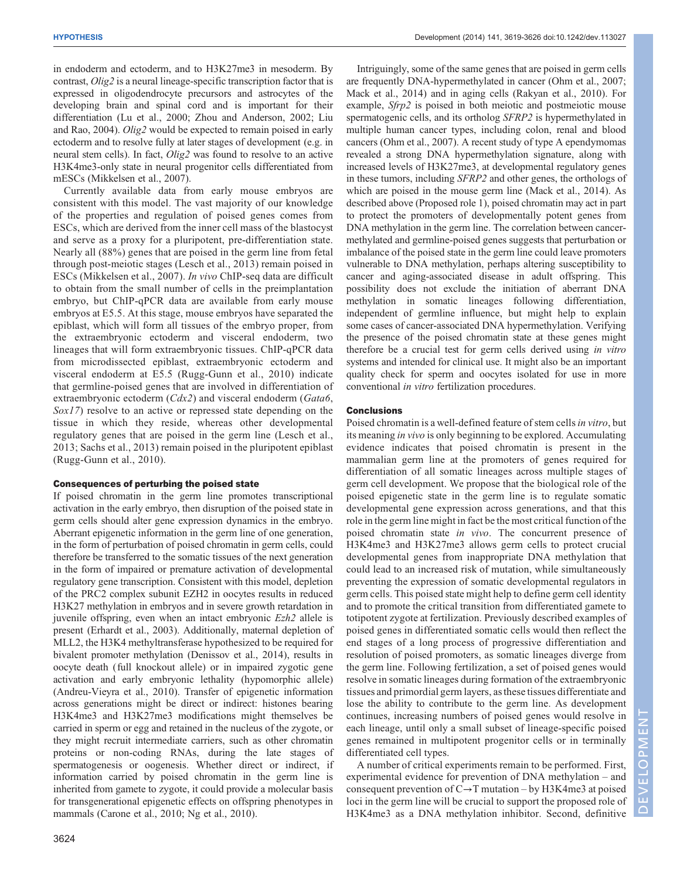Intriguingly, some of the same genes that are poised in germ cells

in endoderm and ectoderm, and to H3K27me3 in mesoderm. By contrast, Olig2 is a neural lineage-specific transcription factor that is expressed in oligodendrocyte precursors and astrocytes of the developing brain and spinal cord and is important for their differentiation ([Lu et al., 2000; Zhou and Anderson, 2002](#page-7-0); [Liu](#page-7-0) [and Rao, 2004\)](#page-7-0). Olig2 would be expected to remain poised in early ectoderm and to resolve fully at later stages of development (e.g. in neural stem cells). In fact, Olig2 was found to resolve to an active H3K4me3-only state in neural progenitor cells differentiated from mESCs [\(Mikkelsen et al., 2007\)](#page-7-0).

Currently available data from early mouse embryos are consistent with this model. The vast majority of our knowledge of the properties and regulation of poised genes comes from ESCs, which are derived from the inner cell mass of the blastocyst and serve as a proxy for a pluripotent, pre-differentiation state. Nearly all (88%) genes that are poised in the germ line from fetal through post-meiotic stages ([Lesch et al., 2013\)](#page-7-0) remain poised in ESCs ([Mikkelsen et al., 2007](#page-7-0)). In vivo ChIP-seq data are difficult to obtain from the small number of cells in the preimplantation embryo, but ChIP-qPCR data are available from early mouse embryos at E5.5. At this stage, mouse embryos have separated the epiblast, which will form all tissues of the embryo proper, from the extraembryonic ectoderm and visceral endoderm, two lineages that will form extraembryonic tissues. ChIP-qPCR data from microdissected epiblast, extraembryonic ectoderm and visceral endoderm at E5.5 [\(Rugg-Gunn et al., 2010\)](#page-7-0) indicate that germline-poised genes that are involved in differentiation of extraembryonic ectoderm (Cdx2) and visceral endoderm (Gata6, Sox17) resolve to an active or repressed state depending on the tissue in which they reside, whereas other developmental regulatory genes that are poised in the germ line ([Lesch et al.,](#page-7-0) [2013; Sachs et al., 2013\)](#page-7-0) remain poised in the pluripotent epiblast [\(Rugg-Gunn et al., 2010\)](#page-7-0).

#### Consequences of perturbing the poised state

If poised chromatin in the germ line promotes transcriptional activation in the early embryo, then disruption of the poised state in germ cells should alter gene expression dynamics in the embryo. Aberrant epigenetic information in the germ line of one generation, in the form of perturbation of poised chromatin in germ cells, could therefore be transferred to the somatic tissues of the next generation in the form of impaired or premature activation of developmental regulatory gene transcription. Consistent with this model, depletion of the PRC2 complex subunit EZH2 in oocytes results in reduced H3K27 methylation in embryos and in severe growth retardation in juvenile offspring, even when an intact embryonic Ezh2 allele is present ([Erhardt et al., 2003\)](#page-6-0). Additionally, maternal depletion of MLL2, the H3K4 methyltransferase hypothesized to be required for bivalent promoter methylation ([Denissov et al., 2014](#page-6-0)), results in oocyte death (full knockout allele) or in impaired zygotic gene activation and early embryonic lethality (hypomorphic allele) [\(Andreu-Vieyra et al., 2010\)](#page-6-0). Transfer of epigenetic information across generations might be direct or indirect: histones bearing H3K4me3 and H3K27me3 modifications might themselves be carried in sperm or egg and retained in the nucleus of the zygote, or they might recruit intermediate carriers, such as other chromatin proteins or non-coding RNAs, during the late stages of spermatogenesis or oogenesis. Whether direct or indirect, if information carried by poised chromatin in the germ line is inherited from gamete to zygote, it could provide a molecular basis for transgenerational epigenetic effects on offspring phenotypes in mammals ([Carone et al., 2010;](#page-6-0) [Ng et al., 2010\)](#page-7-0).

are frequently DNA-hypermethylated in cancer ([Ohm et al., 2007](#page-7-0); [Mack et al., 2014](#page-7-0)) and in aging cells ([Rakyan et al., 2010\)](#page-7-0). For example, *Sfrp2* is poised in both meiotic and postmeiotic mouse spermatogenic cells, and its ortholog SFRP2 is hypermethylated in multiple human cancer types, including colon, renal and blood cancers [\(Ohm et al., 2007](#page-7-0)). A recent study of type A ependymomas revealed a strong DNA hypermethylation signature, along with increased levels of H3K27me3, at developmental regulatory genes in these tumors, including SFRP2 and other genes, the orthologs of which are poised in the mouse germ line ([Mack et al., 2014\)](#page-7-0). As described above (Proposed role 1), poised chromatin may act in part to protect the promoters of developmentally potent genes from DNA methylation in the germ line. The correlation between cancermethylated and germline-poised genes suggests that perturbation or imbalance of the poised state in the germ line could leave promoters vulnerable to DNA methylation, perhaps altering susceptibility to cancer and aging-associated disease in adult offspring. This possibility does not exclude the initiation of aberrant DNA methylation in somatic lineages following differentiation, independent of germline influence, but might help to explain some cases of cancer-associated DNA hypermethylation. Verifying the presence of the poised chromatin state at these genes might therefore be a crucial test for germ cells derived using in vitro systems and intended for clinical use. It might also be an important quality check for sperm and oocytes isolated for use in more conventional in vitro fertilization procedures.

## **Conclusions**

Poised chromatin is a well-defined feature of stem cells in vitro, but its meaning in vivo is only beginning to be explored. Accumulating evidence indicates that poised chromatin is present in the mammalian germ line at the promoters of genes required for differentiation of all somatic lineages across multiple stages of germ cell development. We propose that the biological role of the poised epigenetic state in the germ line is to regulate somatic developmental gene expression across generations, and that this role in the germ line might in fact be the most critical function of the poised chromatin state in vivo. The concurrent presence of H3K4me3 and H3K27me3 allows germ cells to protect crucial developmental genes from inappropriate DNA methylation that could lead to an increased risk of mutation, while simultaneously preventing the expression of somatic developmental regulators in germ cells. This poised state might help to define germ cell identity and to promote the critical transition from differentiated gamete to totipotent zygote at fertilization. Previously described examples of poised genes in differentiated somatic cells would then reflect the end stages of a long process of progressive differentiation and resolution of poised promoters, as somatic lineages diverge from the germ line. Following fertilization, a set of poised genes would resolve in somatic lineages during formation of the extraembryonic tissues and primordial germ layers, as these tissues differentiate and lose the ability to contribute to the germ line. As development continues, increasing numbers of poised genes would resolve in each lineage, until only a small subset of lineage-specific poised genes remained in multipotent progenitor cells or in terminally differentiated cell types.

A number of critical experiments remain to be performed. First, experimental evidence for prevention of DNA methylation – and consequent prevention of  $C \rightarrow T$  mutation – by H3K4me3 at poised loci in the germ line will be crucial to support the proposed role of H3K4me3 as a DNA methylation inhibitor. Second, definitive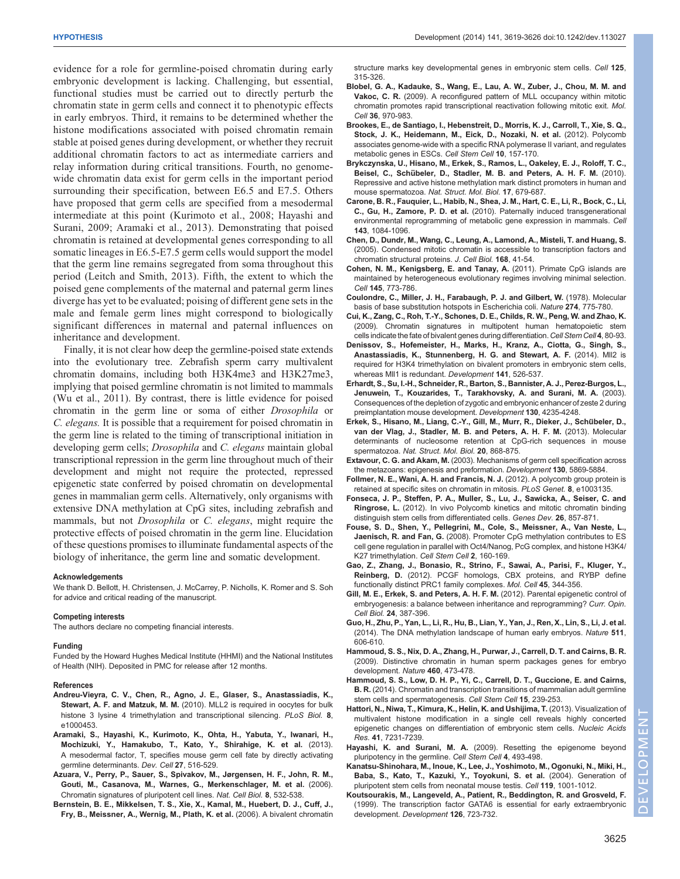<span id="page-6-0"></span>evidence for a role for germline-poised chromatin during early embryonic development is lacking. Challenging, but essential, functional studies must be carried out to directly perturb the chromatin state in germ cells and connect it to phenotypic effects in early embryos. Third, it remains to be determined whether the histone modifications associated with poised chromatin remain stable at poised genes during development, or whether they recruit additional chromatin factors to act as intermediate carriers and relay information during critical transitions. Fourth, no genomewide chromatin data exist for germ cells in the important period surrounding their specification, between E6.5 and E7.5. Others have proposed that germ cells are specified from a mesodermal intermediate at this point [\(Kurimoto et al., 2008](#page-7-0); Hayashi and Surani, 2009; Aramaki et al., 2013). Demonstrating that poised chromatin is retained at developmental genes corresponding to all somatic lineages in E6.5-E7.5 germ cells would support the model that the germ line remains segregated from soma throughout this period [\(Leitch and Smith, 2013\)](#page-7-0). Fifth, the extent to which the poised gene complements of the maternal and paternal germ lines diverge has yet to be evaluated; poising of different gene sets in the male and female germ lines might correspond to biologically significant differences in maternal and paternal influences on inheritance and development.

Finally, it is not clear how deep the germline-poised state extends into the evolutionary tree. Zebrafish sperm carry multivalent chromatin domains, including both H3K4me3 and H3K27me3, implying that poised germline chromatin is not limited to mammals [\(Wu et al., 2011\)](#page-7-0). By contrast, there is little evidence for poised chromatin in the germ line or soma of either Drosophila or C. elegans. It is possible that a requirement for poised chromatin in the germ line is related to the timing of transcriptional initiation in developing germ cells; *Drosophila* and *C. elegans* maintain global transcriptional repression in the germ line throughout much of their development and might not require the protected, repressed epigenetic state conferred by poised chromatin on developmental genes in mammalian germ cells. Alternatively, only organisms with extensive DNA methylation at CpG sites, including zebrafish and mammals, but not *Drosophila* or *C. elegans*, might require the protective effects of poised chromatin in the germ line. Elucidation of these questions promises to illuminate fundamental aspects of the biology of inheritance, the germ line and somatic development.

#### Acknowledgements

We thank D. Bellott, H. Christensen, J. McCarrey, P. Nicholls, K. Romer and S. Soh for advice and critical reading of the manuscript.

#### Competing interests

The authors declare no competing financial interests.

### Funding

Funded by the Howard Hughes Medical Institute (HHMI) and the National Institutes of Health (NIH). Deposited in PMC for release after 12 months.

#### References

- [Andreu-Vieyra, C. V., Chen, R., Agno, J. E., Glaser, S., Anastassiadis, K.,](http://dx.doi.org/10.1371/journal.pbio.1000453) Stewart, A. F. and Matzuk, M. M. [\(2010\). MLL2 is required in oocytes for bulk](http://dx.doi.org/10.1371/journal.pbio.1000453) [histone 3 lysine 4 trimethylation and transcriptional silencing.](http://dx.doi.org/10.1371/journal.pbio.1000453) PLoS Biol. 8, [e1000453.](http://dx.doi.org/10.1371/journal.pbio.1000453)
- [Aramaki, S., Hayashi, K., Kurimoto, K., Ohta, H., Yabuta, Y., Iwanari, H.,](http://dx.doi.org/10.1016/j.devcel.2013.11.001) [Mochizuki, Y., Hamakubo, T., Kato, Y., Shirahige, K. et al.](http://dx.doi.org/10.1016/j.devcel.2013.11.001) (2013). [A mesodermal factor, T, specifies mouse germ cell fate by directly activating](http://dx.doi.org/10.1016/j.devcel.2013.11.001) [germline determinants.](http://dx.doi.org/10.1016/j.devcel.2013.11.001) Dev. Cell 27, 516-529.
- [Azuara, V., Perry, P., Sauer, S., Spivakov, M., Jørgensen, H. F., John, R. M.,](http://dx.doi.org/10.1038/ncb1403) [Gouti, M., Casanova, M., Warnes, G., Merkenschlager, M. et al.](http://dx.doi.org/10.1038/ncb1403) (2006). [Chromatin signatures of pluripotent cell lines.](http://dx.doi.org/10.1038/ncb1403) Nat. Cell Biol. 8, 532-538.
- [Bernstein, B. E., Mikkelsen, T. S., Xie, X., Kamal, M., Huebert, D. J., Cuff, J.,](http://dx.doi.org/10.1016/j.cell.2006.02.041) [Fry, B., Meissner, A., Wernig, M., Plath, K. et al.](http://dx.doi.org/10.1016/j.cell.2006.02.041) (2006). A bivalent chromatin

[structure marks key developmental genes in embryonic stem cells.](http://dx.doi.org/10.1016/j.cell.2006.02.041) Cell 125, [315-326.](http://dx.doi.org/10.1016/j.cell.2006.02.041)

- [Blobel, G. A., Kadauke, S., Wang, E., Lau, A. W., Zuber, J., Chou, M. M. and](http://dx.doi.org/10.1016/j.molcel.2009.12.001) Vakoc, C. R. [\(2009\). A reconfigured pattern of MLL occupancy within mitotic](http://dx.doi.org/10.1016/j.molcel.2009.12.001) [chromatin promotes rapid transcriptional reactivation following mitotic exit.](http://dx.doi.org/10.1016/j.molcel.2009.12.001) Mol. Cell 36[, 970-983.](http://dx.doi.org/10.1016/j.molcel.2009.12.001)
- [Brookes, E., de Santiago, I., Hebenstreit, D., Morris, K. J., Carroll, T., Xie, S. Q.,](http://dx.doi.org/10.1016/j.stem.2011.12.017) [Stock, J. K., Heidemann, M., Eick, D., Nozaki, N. et al.](http://dx.doi.org/10.1016/j.stem.2011.12.017) (2012). Polycomb [associates genome-wide with a specific RNA polymerase II variant, and regulates](http://dx.doi.org/10.1016/j.stem.2011.12.017) [metabolic genes in ESCs.](http://dx.doi.org/10.1016/j.stem.2011.12.017) Cell Stem Cell 10, 157-170.
- [Brykczynska, U., Hisano, M., Erkek, S., Ramos, L., Oakeley, E. J., Roloff, T. C.,](http://dx.doi.org/10.1038/nsmb.1821) Beisel, C., Schü[beler, D., Stadler, M. B. and Peters, A. H. F. M.](http://dx.doi.org/10.1038/nsmb.1821) (2010). [Repressive and active histone methylation mark distinct promoters in human and](http://dx.doi.org/10.1038/nsmb.1821) mouse spermatozoa. [Nat. Struct. Mol. Biol.](http://dx.doi.org/10.1038/nsmb.1821) 17, 679-687.
- [Carone, B. R., Fauquier, L., Habib, N., Shea, J. M., Hart, C. E., Li, R., Bock, C., Li,](http://dx.doi.org/10.1016/j.cell.2010.12.008) C., Gu, H., Zamore, P. D. et al. [\(2010\). Paternally induced transgenerational](http://dx.doi.org/10.1016/j.cell.2010.12.008) [environmental reprogramming of metabolic gene expression in mammals.](http://dx.doi.org/10.1016/j.cell.2010.12.008) Cell 143[, 1084-1096.](http://dx.doi.org/10.1016/j.cell.2010.12.008)
- [Chen, D., Dundr, M., Wang, C., Leung, A., Lamond, A., Misteli, T. and Huang, S.](http://dx.doi.org/10.1083/jcb.200407182) [\(2005\). Condensed mitotic chromatin is accessible to transcription factors and](http://dx.doi.org/10.1083/jcb.200407182) [chromatin structural proteins.](http://dx.doi.org/10.1083/jcb.200407182) J. Cell Biol. 168, 41-54.
- [Cohen, N. M., Kenigsberg, E. and Tanay, A.](http://dx.doi.org/10.1016/j.cell.2011.04.024) (2011). Primate CpG islands are [maintained by heterogeneous evolutionary regimes involving minimal selection.](http://dx.doi.org/10.1016/j.cell.2011.04.024) Cell 145[, 773-786.](http://dx.doi.org/10.1016/j.cell.2011.04.024)
- [Coulondre, C., Miller, J. H., Farabaugh, P. J. and Gilbert, W.](http://dx.doi.org/10.1038/274775a0) (1978). Molecular [basis of base substitution hotspots in Escherichia coli.](http://dx.doi.org/10.1038/274775a0) Nature 274, 775-780.
- [Cui, K., Zang, C., Roh, T.-Y., Schones, D. E., Childs, R. W., Peng, W. and Zhao, K.](http://dx.doi.org/10.1016/j.stem.2008.11.011) [\(2009\). Chromatin signatures in multipotent human hematopoietic stem](http://dx.doi.org/10.1016/j.stem.2008.11.011) [cells indicate the fate of bivalent genes during differentiation.](http://dx.doi.org/10.1016/j.stem.2008.11.011) Cell Stem Cell 4, 80-93.
- [Denissov, S., Hofemeister, H., Marks, H., Kranz, A., Ciotta, G., Singh, S.,](http://dx.doi.org/10.1242/dev.102681) [Anastassiadis, K., Stunnenberg, H. G. and Stewart, A. F.](http://dx.doi.org/10.1242/dev.102681) (2014). Mll2 is [required for H3K4 trimethylation on bivalent promoters in embryonic stem cells,](http://dx.doi.org/10.1242/dev.102681) whereas MII1 is redundant. Development 141, 526-537.
- [Erhardt, S., Su, I.-H., Schneider, R., Barton, S., Bannister, A. J., Perez-Burgos, L.,](http://dx.doi.org/10.1242/dev.00625) [Jenuwein, T., Kouzarides, T., Tarakhovsky, A. and Surani, M. A.](http://dx.doi.org/10.1242/dev.00625) (2003). [Consequences of the depletion of zygotic and embryonic enhancer of zeste 2 during](http://dx.doi.org/10.1242/dev.00625) [preimplantation mouse development.](http://dx.doi.org/10.1242/dev.00625) Development 130, 4235-4248.
- [Erkek, S., Hisano, M., Liang, C.-Y., Gill, M., Murr, R., Dieker, J., Schu](http://dx.doi.org/10.1038/nsmb.2599)̈beler, D., [van der Vlag, J., Stadler, M. B. and Peters, A. H. F. M.](http://dx.doi.org/10.1038/nsmb.2599) (2013). Molecular [determinants of nucleosome retention at CpG-rich sequences in mouse](http://dx.doi.org/10.1038/nsmb.2599) spermatozoa. [Nat. Struct. Mol. Biol.](http://dx.doi.org/10.1038/nsmb.2599) 20, 868-875.
- Extavour, C. G. and Akam, M. [\(2003\). Mechanisms of germ cell specification across](http://dx.doi.org/10.1242/dev.00804) [the metazoans: epigenesis and preformation.](http://dx.doi.org/10.1242/dev.00804) Development 130, 5869-5884.
- [Follmer, N. E., Wani, A. H. and Francis, N. J.](http://dx.doi.org/10.1371/journal.pgen.1003135) (2012). A polycomb group protein is [retained at specific sites on chromatin in mitosis.](http://dx.doi.org/10.1371/journal.pgen.1003135) PLoS Genet. 8, e1003135.
- [Fonseca, J. P., Steffen, P. A., Muller, S., Lu, J., Sawicka, A., Seiser, C. and](http://dx.doi.org/10.1101/gad.184648.111) Ringrose, L. [\(2012\). In vivo Polycomb kinetics and mitotic chromatin binding](http://dx.doi.org/10.1101/gad.184648.111) [distinguish stem cells from differentiated cells.](http://dx.doi.org/10.1101/gad.184648.111) Genes Dev. 26, 857-871.
- [Fouse, S. D., Shen, Y., Pellegrini, M., Cole, S., Meissner, A., Van Neste, L.,](http://dx.doi.org/10.1016/j.stem.2007.12.011) Jaenisch, R. and Fan, G. [\(2008\). Promoter CpG methylation contributes to ES](http://dx.doi.org/10.1016/j.stem.2007.12.011) [cell gene regulation in parallel with Oct4/Nanog, PcG complex, and histone H3K4/](http://dx.doi.org/10.1016/j.stem.2007.12.011) [K27 trimethylation.](http://dx.doi.org/10.1016/j.stem.2007.12.011) Cell Stem Cell 2, 160-169.
- [Gao, Z., Zhang, J., Bonasio, R., Strino, F., Sawai, A., Parisi, F., Kluger, Y.,](http://dx.doi.org/10.1016/j.molcel.2012.01.002) Reinberg, D. [\(2012\). PCGF homologs, CBX proteins, and RYBP define](http://dx.doi.org/10.1016/j.molcel.2012.01.002) [functionally distinct PRC1 family complexes.](http://dx.doi.org/10.1016/j.molcel.2012.01.002) Mol. Cell 45, 344-356.
- [Gill, M. E., Erkek, S. and Peters, A. H. F. M.](http://dx.doi.org/10.1016/j.ceb.2012.03.002) (2012). Parental epigenetic control of [embryogenesis: a balance between inheritance and reprogramming?](http://dx.doi.org/10.1016/j.ceb.2012.03.002) Curr. Opin. Cell Biol. 24[, 387-396.](http://dx.doi.org/10.1016/j.ceb.2012.03.002)
- [Guo, H., Zhu, P., Yan, L., Li, R., Hu, B., Lian, Y., Yan, J., Ren, X., Lin, S., Li, J. et al.](http://dx.doi.org/10.1038/nature13544) [\(2014\). The DNA methylation landscape of human early embryos.](http://dx.doi.org/10.1038/nature13544) Nature 511, [606-610.](http://dx.doi.org/10.1038/nature13544)
- [Hammoud, S. S., Nix, D. A., Zhang, H., Purwar, J., Carrell, D. T. and Cairns, B. R.](http://dx.doi.org/10.1038/nature08162) [\(2009\). Distinctive chromatin in human sperm packages genes for embryo](http://dx.doi.org/10.1038/nature08162) [development.](http://dx.doi.org/10.1038/nature08162) Nature 460, 473-478.
- [Hammoud, S. S., Low, D. H. P., Yi, C., Carrell, D. T., Guccione, E. and Cairns,](http://dx.doi.org/10.1016/j.stem.2014.04.006) B. R. [\(2014\). Chromatin and transcription transitions of mammalian adult germline](http://dx.doi.org/10.1016/j.stem.2014.04.006) [stem cells and spermatogenesis.](http://dx.doi.org/10.1016/j.stem.2014.04.006) Cell Stem Cell 15, 239-253.
- [Hattori, N., Niwa, T., Kimura, K., Helin, K. and Ushijima, T.](http://dx.doi.org/10.1093/nar/gkt528) (2013). Visualization of [multivalent histone modification in a single cell reveals highly concerted](http://dx.doi.org/10.1093/nar/gkt528) [epigenetic changes on differentiation of embryonic stem cells.](http://dx.doi.org/10.1093/nar/gkt528) Nucleic Acids Res. 41[, 7231-7239.](http://dx.doi.org/10.1093/nar/gkt528)
- Hayashi, K. and Surani, M. A. [\(2009\). Resetting the epigenome beyond](http://dx.doi.org/10.1016/j.stem.2009.05.007) [pluripotency in the germline.](http://dx.doi.org/10.1016/j.stem.2009.05.007) Cell Stem Cell 4, 493-498.
- [Kanatsu-Shinohara, M., Inoue, K., Lee, J., Yoshimoto, M., Ogonuki, N., Miki, H.,](http://dx.doi.org/10.1016/j.cell.2004.11.011) [Baba, S., Kato, T., Kazuki, Y., Toyokuni, S. et al.](http://dx.doi.org/10.1016/j.cell.2004.11.011) (2004). Generation of [pluripotent stem cells from neonatal mouse testis.](http://dx.doi.org/10.1016/j.cell.2004.11.011) Cell 119, 1001-1012.
- Koutsourakis, M., Langeveld, A., Patient, R., Beddington, R. and Grosveld, F. (1999). The transcription factor GATA6 is essential for early extraembryonic development. Development 126, 723-732.